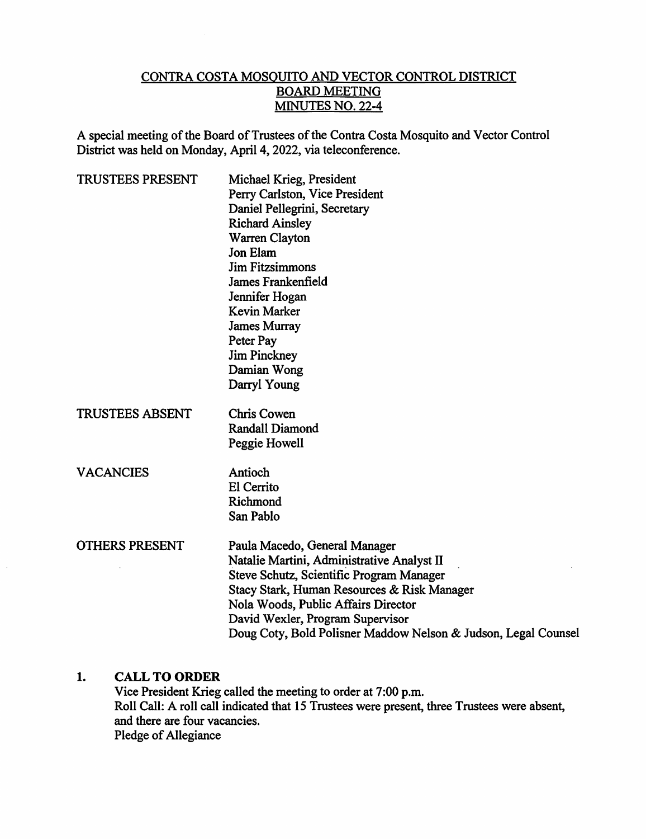#### CONTRA COSTA MOSQUITO AND VECTOR CONTROL DISTRICT BOARD MEETING MINUTES NO. 22-4

A special meeting of the Board of Trustees of the Contra Costa Mosquito and Vector Control District was held on Monday, April 4,2022, via teleconference.

| Michael Krieg, President<br>Perry Carlston, Vice President<br>Daniel Pellegrini, Secretary<br><b>Richard Ainsley</b><br>Warren Clayton<br><b>Jon Elam</b><br><b>Jim Fitzsimmons</b><br>James Frankenfield<br>Jennifer Hogan<br><b>Kevin Marker</b>                                                                  |
|---------------------------------------------------------------------------------------------------------------------------------------------------------------------------------------------------------------------------------------------------------------------------------------------------------------------|
| <b>James Murray</b><br>Peter Pay<br><b>Jim Pinckney</b><br>Damian Wong<br>Darryl Young                                                                                                                                                                                                                              |
| <b>Chris Cowen</b><br><b>Randall Diamond</b><br>Peggie Howell                                                                                                                                                                                                                                                       |
| Antioch<br><b>El Cerrito</b><br>Richmond<br>San Pablo                                                                                                                                                                                                                                                               |
| Paula Macedo, General Manager<br>Natalie Martini, Administrative Analyst II<br>Steve Schutz, Scientific Program Manager<br>Stacy Stark, Human Resources & Risk Manager<br>Nola Woods, Public Affairs Director<br>David Wexler, Program Supervisor<br>Doug Coty, Bold Polisner Maddow Nelson & Judson, Legal Counsel |
|                                                                                                                                                                                                                                                                                                                     |

## 1. CALL TO ORDER

Vice President Krieg called the meeting to order at 7:00 p.m. Roll Call: A roll call indicated that 15 Trustees were present, three Trustees were absent, and there are four vacancies. Pledge of Allegiance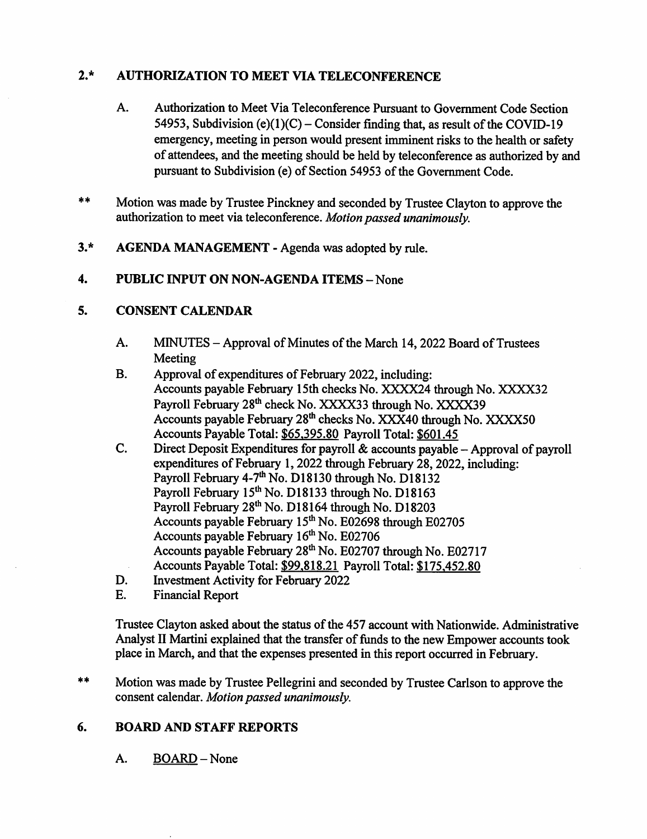# 2\* AUTHORIZATION TO MEET VIA TELECONFERENCE

- Authorization to Meet Via Teleconference Pursuant to Government Code Section 54953, Subdivision (e)(1)(C) – Consider finding that, as result of the COVID-19 emergency, meeting in person would present imminent risks to the health or safety of attendees, and the meeting should be held by teleconference as authorized by and pursuant to Subdivision (e) of Section 54953 of the Government Code. A.
- $***$ Motion was made by Trustee Pinckney and seconded by Trustee Clayton to approve the authorization to meet via teleconference. Motion passed unanimously.
- 3.\* AGENDA MANAGEMENT Agenda was adopted by rule.

## 4. PUBLIC INPUT ON NON-AGENDA ITEMS - None

## 5. CONSENT CALENDAR

- MINUTES Approval of Minutes of the March 14,2022 Board of Trustees Meeting A.
- Approval of expenditures of February 2022, including: Accounts payable February 15th checks No. XXXX24 through No. XXXX32 Payroll February 28<sup>th</sup> check No. XXXX33 through No. XXXX39 Accounts payable February 28<sup>th</sup> checks No. XXX40 through No. XXXX50 Accounts Payable Total: \$65.395.80 Payroll Total: \$601.45 B.
- Direct Deposit Expenditures for payroll  $\&$  accounts payable Approval of payroll expenditures of February 1,2022 through February 28,2022, including: Payroll February 4-7<sup>th</sup> No. D18130 through No. D18132 Payroll February 15<sup>th</sup> No. D18133 through No. D18163 Payroll February 28<sup>th</sup> No. D18164 through No. D18203 Accounts payable February 15<sup>th</sup> No. E02698 through E02705 Accounts payable February 16<sup>th</sup> No. E02706 Accounts payable February 28<sup>th</sup> No. E02707 through No. E02717 Accounts Payable Total: \$99.818.21 Payroll Total: \$175.452.80 C.
- Investment Activity for February 2022 D.
- Financial Report E.

Trustee Clayton asked about the status of the 457 account with Nationwide. Administrative Analyst II Martini explained that the transfer of fimds to the new Empower accounts took place in March, and that the expenses presented in this report occurred in February.

 $**$ Motion was made by Trustee Pellegrini and seconded by Trustee Carlson to approve the consent calendar. Motion passed unanimously.

#### 6. BOARD AND STAFF REPORTS

A. BOARD-None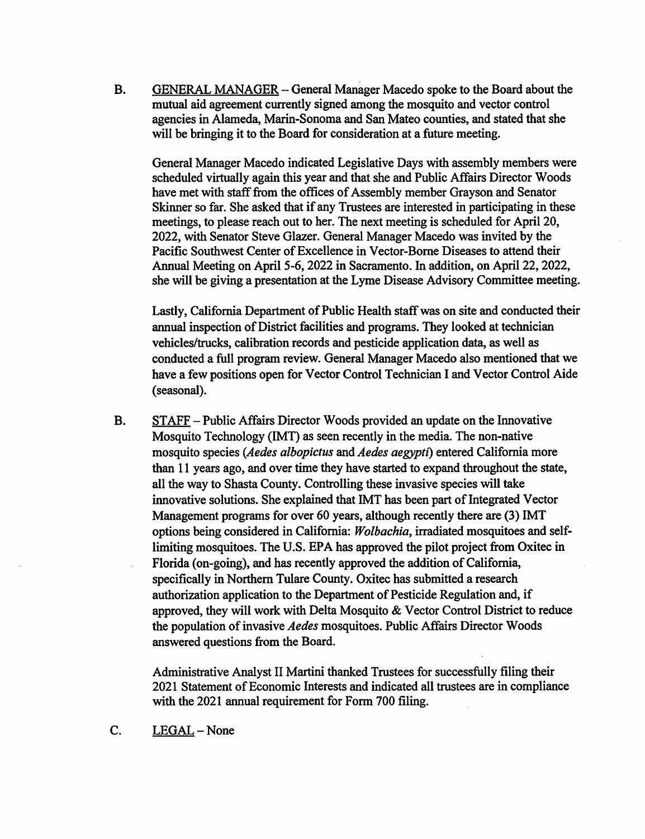GENERAL MANAGER - General Manager Macedo spoke to the Board about the mutual aid agreement currently signed among the mosquito and vector control agencies in Alameda, Marin-Sonoma and San Mateo counties, and stated that she will be bringing it to the Board for consideration at a future meeting. B.

General Manager Macedo indicated Legislative Days with assembly members were scheduled virtually again this year and that she and Public Affairs Director Woods have met with staff from the offices of Assembly member Grayson and Senator Skinner so far. She asked that if any Trustees are interested in participating in these meetings, to please reach out to her. The next meeting is scheduled for April 20, 2022, with Senator Steve Glazer. General Manager Macedo was invited by the Pacific Southwest Center of Excellence in Vector-Borne Diseases to attend their Annual Meeting on April 5-6, 2022 in Sacramento. In addition, on April 22, 2022, she will be giving a presentation at the Lyme Disease Advisory Committee meeting.

Lastly, California Department of Public Health staff was on site and conducted their annual inspection of District facilities and programs. They looked at technician vehicles/trucks, calibration records and pesticide application data, as well as conducted a full program review. General Manager Macedo also mentioned that we have a few positions open for Vector Control Technician I and Vector Control Aide (seasonal).

STAFF - Public Affairs Director Woods provided an update on the Innovative Mosquito Technology (IMT) as seen recently in the media. The non-native mosquito species (Aedes albopictus and Aedes aegypti) entered California more than 11 years ago, and over time they have started to expand throughout the state, all the way to Shasta County. Controlling these invasive species will take innovative solutions. She explained that IMT has been part of Integrated Vector Management programs for over 60 years, although recently there are (3) IMT options being considered in California: Wolbachia, irradiated mosquitoes and selflimiting mosquitoes. The U.S. EPA has approved the pilot project from Oxitec in Florida (on-going), and has recently approved the addition of California, specifically in Northern Tulare County. Oxitec has submitted a research authorization application to the Department of Pesticide Regulation and, if approved, they will work with Delta Mosquito & Vector Control District to reduce the population of invasive Aedes mosquitoes. Public Affairs Director Woods answered questions from the Board. B.

Administrative Analyst II Martini thanked Trustees for successfully filing their 2021 Statement of Economic Interests and indicated all trustees are in compliance with the 2021 annual requirement for Form 700 filing.

C. LEGAL - None